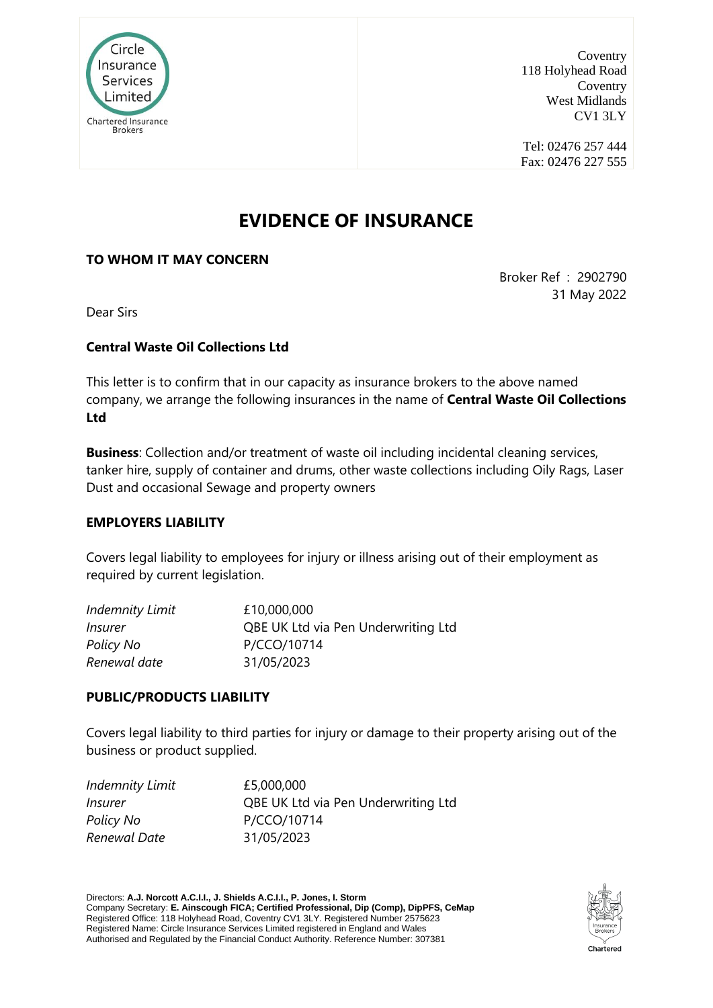

Coventry 118 Holyhead Road Coventry West Midlands CV1 3LY

Tel: 02476 257 444 Fax: 02476 227 555

# **EVIDENCE OF INSURANCE**

### **TO WHOM IT MAY CONCERN**

Broker Ref : 2902790 31 May 2022

Dear Sirs

#### **Central Waste Oil Collections Ltd**

This letter is to confirm that in our capacity as insurance brokers to the above named company, we arrange the following insurances in the name of **Central Waste Oil Collections Ltd**

**Business**: Collection and/or treatment of waste oil including incidental cleaning services, tanker hire, supply of container and drums, other waste collections including Oily Rags, Laser Dust and occasional Sewage and property owners

#### **EMPLOYERS LIABILITY**

Covers legal liability to employees for injury or illness arising out of their employment as required by current legislation.

| <b>Indemnity Limit</b> | £10,000,000                         |
|------------------------|-------------------------------------|
| <i>Insurer</i>         | QBE UK Ltd via Pen Underwriting Ltd |
| Policy No              | P/CCO/10714                         |
| Renewal date           | 31/05/2023                          |

#### **PUBLIC/PRODUCTS LIABILITY**

Covers legal liability to third parties for injury or damage to their property arising out of the business or product supplied.

| <b>Indemnity Limit</b> | £5,000,000                          |
|------------------------|-------------------------------------|
| <i>Insurer</i>         | QBE UK Ltd via Pen Underwriting Ltd |
| Policy No              | P/CCO/10714                         |
| Renewal Date           | 31/05/2023                          |

Directors: **A.J. Norcott A.C.I.I., J. Shields A.C.I.I., P. Jones, I. Storm** Company Secretary: **E. Ainscough FICA; Certified Professional, Dip (Comp), DipPFS, CeMap** Registered Office: 118 Holyhead Road, Coventry CV1 3LY. Registered Number 2575623 Registered Name: Circle Insurance Services Limited registered in England and Wales Authorised and Regulated by the Financial Conduct Authority. Reference Number: 307381